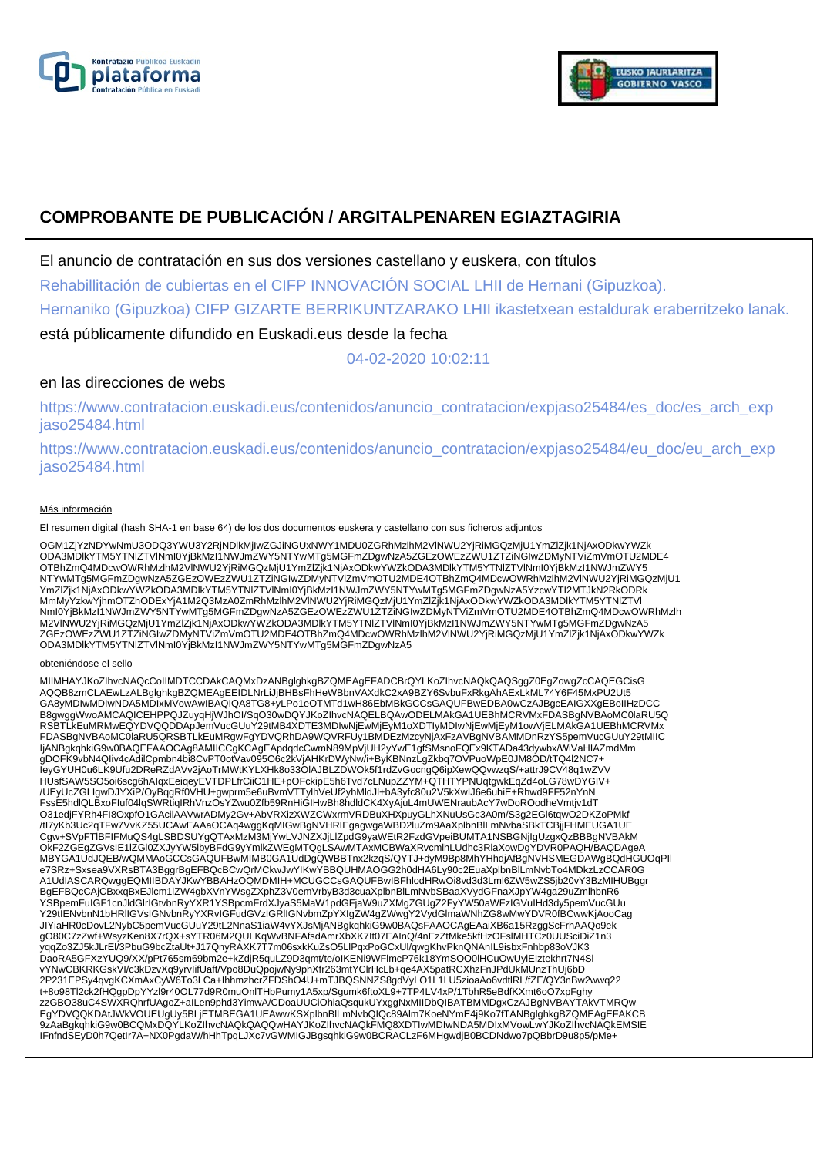



# **COMPROBANTE DE PUBLICACIÓN / ARGITALPENAREN EGIAZTAGIRIA**

El anuncio de contratación en sus dos versiones castellano y euskera, con títulos

Rehabillitación de cubiertas en el CIFP INNOVACIÓN SOCIAL LHII de Hernani (Gipuzkoa).

Hernaniko (Gipuzkoa) CIFP GIZARTE BERRIKUNTZARAKO LHII ikastetxean estaldurak eraberritzeko lanak.

está públicamente difundido en Euskadi.eus desde la fecha

04-02-2020 10:02:11

## en las direcciones de webs

https://www.contratacion.euskadi.eus/contenidos/anuncio\_contratacion/expjaso25484/es\_doc/es\_arch\_exp jaso25484.html

https://www.contratacion.euskadi.eus/contenidos/anuncio\_contratacion/expjaso25484/eu\_doc/eu\_arch\_exp jaso25484.html

### Más información

El resumen digital (hash SHA-1 en base 64) de los dos documentos euskera y castellano con sus ficheros adjuntos

OGM1ZjYzNDYwNmU3ODQ3YWU3Y2RjNDlkMjIwZGJiNGUxNWY1MDU0ZGRhMzlhM2VlNWU2YjRiMGQzMjU1YmZlZjk1NjAxODkwYWZk ODA3MDlkYTM5YTNlZTVlNmI0YjBkMzI1NWJmZWY5NTYwMTg5MGFmZDgwNzA5ZGEzOWEzZWU1ZTZiNGIwZDMyNTViZmVmOTU2MDE4 OTBhZmQ4MDcwOWRhMzlhM2VlNWU2YjRiMGQzMjU1YmZlZjk1NjAxODkwYWZkODA3MDlkYTM5YTNlZTVlNml0YjBkMzI1NWJmZWY5<br>NTYwMTg5MGFmZDgwNzA5ZGEzOWEzZWU1ZTZiNGIwZDMyNTViZmVmOTU2MDE4OTBhZmQ4MDcwOWRhMzlhM2VlNWU2YjRiMGQzMjU1 YmZlZjk1NjAxODkwYWZkODA3MDlkYTM5YTNlZTVlNmI0YjBkMzI1NWJmZWY5NTYwMTg5MGFmZDgwNzA5YzcwYTI2MTJkN2RkODRk MmMyYzkwYjhmOTZhODExYjA1M2Q3MzA0ZmRhMzlhM2VlNWU2YjRiMGQzMjU1YmZlZjk1NjAxODkwYWZkODA3MDlkYTM5YTNlZTVl NmI0YjBkMzI1NWJmZWY5NTYwMTg5MGFmZDgwNzA5ZGEzOWEzZWU1ZTZiNGIwZDMyNTViZmVmOTU2MDE4OTBhZmQ4MDcwOWRhMzlh M2VlNWU2YjRiMGQzMjU1YmZlZjk1NjAxODkwYWZkODA3MDlkYTM5YTNlZTVlNmI0YjBkMzI1NWJmZWY5NTYwMTg5MGFmZDgwNzA5 ZGEzOWEzZWU1ZTZiNGIwZDMyNTViZmVmOTU2MDE4OTBhZmQ4MDcwOWRhMzlhM2VlNWU2YjRiMGQzMjU1YmZlZjk1NjAxODkwYWZk<br>ODA3MDlkYTM5YTNIZTVlNmI0YjBkMzI1NWJmZWY5NTYwMTg5MGFmZDgwNzA5

#### obteniéndose el sello

MIIMHAYJKoZIhvcNAQcCoIIMDTCCDAkCAQMxDzANBglghkgBZQMEAgEFADCBrQYLKoZIhvcNAQkQAQSggZ0EgZowgZcCAQEGCisG AQQB8zmCLAEwLzALBglghkgBZQMEAgEEIDLNrLiJjBHBsFhHeWBbnVAXdkC2xA9BZY6SvbuFxRkgAhAExLkML74Y6F45MxPU2Ut5<br>GA8yMDIwMDIwNDA5MDIxMVowAwIBAQIQA8TG8+yLPo1eOTMTd1wH86EbMBkGCCsGAQUFBwEDBA0wCzAJBgcEAIGXXgEBoIIHzDCC B8gwggWwoAMCAQICEHPPQJZuyqHjWJhOI/SqO30wDQYJKoZIhvcNAQELBQAwODELMAkGA1UEBhMCRVMxFDASBgNVBAoMC0laRU5Q RSBTLkEuMRMwEQYDVQQDDApJemVucGUuY29tMB4XDTE3MDIwNjEwMjEyM1oXDTIyMDIwNjEwMjEyM1owVjELMAkGA1UEBhMCRVMx FDASBgNVBAoMC0laRU5QRSBTLkEuMRgwFgYDVQRhDA9WQVRFUy1BMDEzMzcyNjAxFzAVBgNVBAMMDnRzYS5pemVucGUuY29tMIIC IjANBgkqhkiG9w0BAQEFAAOCAg8AMIICCgKCAgEApdqdcCwmN89MpVjUH2yYwE1gfSMsnoFQEx9KTADa43dywbx/WiVaHIAZmdMm gDOFK9vbN4QIiv4cAdilCpmbn4bi8CvPT0otVav095O6c2kVjAHKrDWyNw/i+ByKBNnzLgZkbq7OVPuoWpE0JM8OD/tTQ4l2NC7+ IeyGYUH0u6LK9Ufu2DReRZdAVv2jAoTrMWtKYLXHk8o33OlAJBLZDWOk5f1rdZvGocngQ6ipXewQQvwzqS/+attrJ9CV48q1wZVV HUsfSAW5SO5oi6scg6hAIqxEeiqeyEVTDPLfrCiiC1HE+pOFckipE5h6Tvd7cLNupZZYM+QTHTYPNUqtgwkEqZd4oLG78wDYGIV+ /UEyUcZGLIgwDJYXiP/OyBqgRf0VHU+gwprm5e6uBvmVTTylhVeUf2yhMldJl+bA3yfc80u2V5kXwIJ6e6uhiE+Rhwd9FF52nYnN FssE5hdlQLBxoFluf04lqSWRtiqIRhVnzOsYZwu0Zfb59RnHiGIHwBh8hdldCK4XyAjuL4mUWENraubAcY7wDoROodheVmtjv1dT<br>O31edjFYRh4Fl8OxpfO1GAcilAAVwrADMy2Gv+AbVRXizXWZCWxrmVRDBuXHXpuyGLhXNuUsGc3A0m/S3g2EGl6tqwO2DKZoPMkf /tI7yKb3Uc2qTFw7VvKZ55UCAwEAAaOCAq4wggKqMIGwBgNVHRIEgagwgaWBD2luZm9AaXplbnBlLmNvbaSBkTCBjjFHMEUGA1UE Cgw+SVpFTlBFIFMuQS4gLSBDSUYgQTAxMzM3MjYwLVJNZXJjLlZpdG9yaWEtR2FzdGVpeiBUMTA1NSBGNjIgUzgxQzBBBgNVBAkM OkF2ZGEgZGVsIE1lZGl0ZXJyYW5lbyBFdG9yYmlkZWEgMTQgLSAwMTAxMCBWaXRvcmlhLUdhc3RlaXowDgYDVR0PAQH/BAQDAgeA MBYGA1UdJQEB/wQMMAoGCCsGAQUFBwMIMB0GA1UdDgQWBBTnx2kzqS/QYTJ+dyM9Bp8MhYHhdjAfBgNVHSMEGDAWgBQdHGUOqPIl e7SRz+Sxsea9VXRsBTA3BggrBgEFBQcBCwQrMCkwJwYIKwYBBQUHMAOGG2h0dHA6Ly90c2EuaXplbnBlLmNvbTo4MDkzLzCCAR0G A1UdIASCARQwggEQMIIBDAYJKwYBBAHzOQMDMIH+MCUGCCsGAQUFBwIBFhlodHRwOi8vd3d3Lml6ZW5wZS5jb20vY3BzMIHUBggr BgEFBQcCAjCBxxqBxEJlcm1lZW4gbXVnYWsgZXphZ3V0emVrbyB3d3cuaXplbnBlLmNvbSBaaXVydGFnaXJpYW4ga29uZmlhbnR6 YSBpemFuIGF1cnJldGlrIGtvbnRyYXR1YSBpcmFrdXJyaS5MaW1pdGFjaW9uZXMgZGUgZ2FyYW50aWFzIGVuIHd3dy5pemVucGUu Y29tIENvbnN1bHRlIGVsIGNvbnRyYXRvIGFudGVzIGRlIGNvbmZpYXIgZW4gZWwgY2VydGlmaWNhZG8wMwYDVR0fBCwwKjAooCag JIYiaHR0cDovL2NybC5pemVucGUuY29tL2NnaS1iaW4vYXJsMjANBgkqhkiG9w0BAQsFAAOCAgEAaiXB6a15RzggScFrhAAQo9ek gO80C7zZwf+WsyzKen8X7rQX+sYTR06M2QULKqWvBNFAfsdAmrXbXK7It07EAInQ/4nEzZtMke5kfHzOFslMHTCz0UUSciDiZ1n3 yqqZo3ZJ5kJLrEl/3PbuG9bcZtaUt+J17QnyRAXK7T7m06sxkKuZsO5LlPqxPoGCxUl/qwgKhvPknQNAnIL9isbxFnhbp83oVJK3 DaoRA5GFXzYUQ9/XX/pPt765sm69bm2e+kZdjR5quLZ9D3qmt/te/oIKENi9WFlmcP76k18YmSOO0IHCuOwUylEIztekhrt7N4Sl<br>vYNwCBKRKGskVI/c3kDzvXq9yrvlifUaft/Vpo8DuQpojwNy9phXfr263mtYClrHcLb+qe4AX5patRCXhzFnJPdUkMUnzThUj6bD 2P231EPSy4qvgKCXmAxCyW6To3LCa+IhhmzhcrZFDShO4U+mTJBQSNNZS8gdVyLO1L1LU5zioaAo6vdtlRL/fZE/QY3nBw2wwq22 t+8o98Tl2ck2fHQgpDpYYzl9r40OL77d9R0muOnlTHbPumy1A5xp/Sgumk6ftoXL9+7TP4LV4xP/1TbhR5eBdfKXmt6oO7xpFghy zzGBO38uC4SWXRQhrfUAgoZ+aILen9phd3YimwA/CDoaUUCiOhiaQsqukUYxggNxMIIDbQIBATBMMDgxCzAJBgNVBAYTAkVTMRQw EgYDVQQKDAtJWkVOUEUgUy5BLjETMBEGA1UEAwwKSXplbnBlLmNvbQIQc89Alm7KoeNYmE4j9Ko7fTANBglghkgBZQMEAgEFAKCB 9zAaBgkqhkiG9w0BCQMxDQYLKoZIhvcNAQkQAQQwHAYJKoZIhvcNAQkFMQ8XDTIwMDIwNDA5MDIxMVowLwYJKoZIhvcNAQkEMSIE IFnfndSEyD0h7QetIr7A+NX0PgdaW/hHhTpqLJXc7vGWMIGJBgsqhkiG9w0BCRACLzF6MHgwdjB0BCDNdwo7pQBbrD9u8p5/pMe+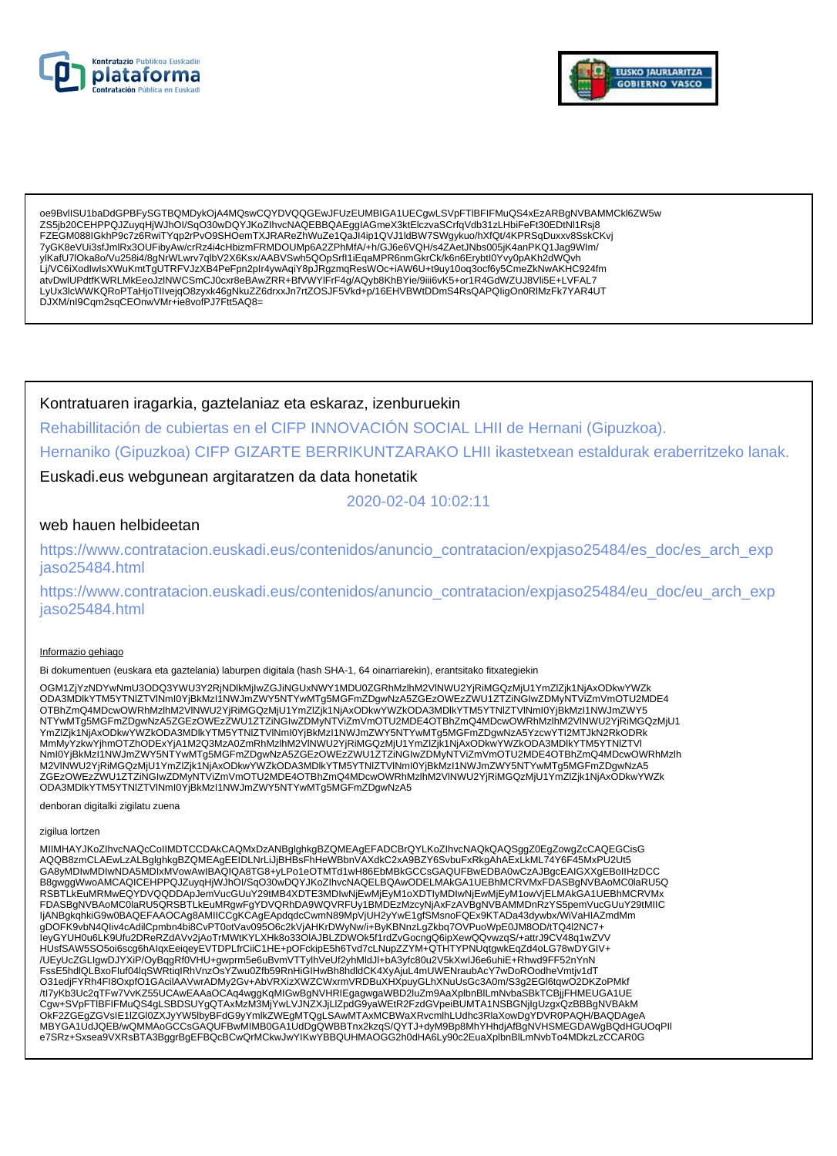



oe9BvlISU1baDdGPBFySGTBQMDykOjA4MQswCQYDVQQGEwJFUzEUMBIGA1UECgwLSVpFTIBFIFMuQS4xEzARBgNVBAMMCkl6ZW5w ZS5jb20CEHPPQJZuyqHjWJhOl/SqO30wDQYJKoZIhvcNAQEBBQAEggIAGmeX3ktElczvaSCrfqVdb31zLHbiFeFt30EDtNI1Rsj8 FZEGM088IGkhP9c7z6RwiTYqp2rPvO9SHOemTXJRAReZhWuZe1QaJI4ip1QVJ1IdBW7SWgykuo/hXfQt/4KPRSqDuxxv8SskCKvj 7yGK8eVUi3sfJmlRx3OUFibyAw/crRz4i4cHbizmFRMDOUMp6A2ZPhMfA/+h/GJ6e6VQH/s4ZAetJNbs005jK4anPKQ1Jag9Wlm/ ylKafU7IOka8o/Vu258i4/8gNrWLwrv7qlbV2X6Ksx/AABVSwh5QOpSrfI1iEqaMPR6nmGkrCk/k6n6Erybtl0Yvy0pAKh2dWQvh Lj/VC6iXodlwIsXWuKmtTgUTRFVJzXB4PeFpn2pIr4ywAqiY8pJRgzmqResWOc+iAW6U+t9uy10oq3ocf6y5CmeZkNwAKHC924fm atvDwlUPdtfKWRLMkEeoJzINWCSmCJ0cxr8eBAwZRR+BfVWYIFrF4g/AQyb8KhBYie/9iii6vK5+or1R4GdWZUJ8VIi5E+LVFAL7 LyUx3lcWWKQRoPTaHjoTllvejqO8zyxk46gNkuZZ6drxxJn7rtZOSJF5Vkd+p/16EHVBWtDDmS4RsQAPQligOn0RlMzFk7YAR4UT DJXM/nl9Cqm2sqCEOnwVMr+ie8vofPJ7Ftt5AQ8=

Kontratuaren iragarkia, gaztelaniaz eta eskaraz, izenburuekin

Rehabillitación de cubiertas en el CIFP INNOVACIÓN SOCIAL LHII de Hernani (Gipuzkoa).

Hernaniko (Gipuzkoa) CIFP GIZARTE BERRIKUNTZARAKO LHII ikastetxean estaldurak eraberritzeko lanak.

### Euskadi.eus webgunean argitaratzen da data honetatik

2020-02-04 10:02:11

### web hauen helbideetan

https://www.contratacion.euskadi.eus/contenidos/anuncio\_contratacion/expjaso25484/es\_doc/es\_arch\_exp iaso25484.html

https://www.contratacion.euskadi.eus/contenidos/anuncio\_contratacion/expjaso25484/eu\_doc/eu\_arch\_exp jaso25484.html

#### Informazio gehiago

Bi dokumentuen (euskara eta gaztelania) laburpen digitala (hash SHA-1, 64 oinarriarekin), erantsitako fitxategiekin

OGM1ZjYzNDYwNmU3ODQ3YWU3Y2RjNDlkMjIwZGJiNGUxNWY1MDU0ZGRhMzlhM2VlNWU2YjRiMGQzMjU1YmZlZjk1NjAxODkwYWZk COMAMDIKYTMEYTMEYTAINUS/NIMIOYjBkMzI1NWJmZWY5NTYwMTg5MGFmZDgwNzA5ZGEzOWEzZWU1ZTZiNGIwZDMyNTViZmVmOTU2MDE4<br>OTBhZmQ4MDcwOWRhMzIhM2VINWU2YjRiMGQzMjU1YmZlZjk1NjAxODkwYWZkODA3MDlkYTM5YTNIZTVlNml0YjBkMzI1NWJmZWY5<br>NTYwMTg5MGFmZDg YmZlZjk1NjAxODkwYWZkODA3MDlkYTM5YTNlZTVlNml0YjBkMzl1NWJmZWY5NTYwMTg5MGFmZDgwNzA5YzcwYTl2MTJkN2RKODRk MmMyYzkwYjhmOTZhODExYjA1M2Q3MzA0ZmRhMzIhM2VINWU2YjRiMGQzMjU1YmZIZjK1NjAxODkwYWZkODA3MDlkYTM5YTNIZTVI Nml0YjBkMzI1NWJmZWY5NTYwMTg5MGFmZDgwNzA5ZGEzOWEzZWU1ZTZINGIwZDMyNTViZmVmOTU2MDE4OTBhZmQ4MDcwOWRhMzlh M2VINWU2YjRiMGQzMjU1YmZlZjk1NjAxODkwYWZkODA3MDlkYTM5YTNlZTVlNml0YjBkMzl1NWJmZWY5NTYwMTg5MGFmZDgwNzA5 ZGEzOWEzZWU1ZTZiNGIwZDMyNTViZmVmOTU2MDE4OTBhZmQ4MDcwOWRhMzlhM2VINWU2YjRiMGQzMjU1YmZlZjk1NjAxODkwYWZk ODA3MDIkYTM5YTNIZTVINmI0YjBkMzI1NWJmZWY5NTYwMTg5MGFmZDgwNzA5

denboran digitalki zigilatu zuena

#### zigilua lortzen

MIIMHAYJKoZIhvcNAQcCoIIMDTCCDAkCAQMxDzANBqlqhkqBZQMEAqEFADCBrQYLKoZIhvcNAQkQAQSqqZ0EqZowqZcCAQEGCisG AQQB8zmCLAEwLzALBglghkgBZQMEAgEEIDLNrLiJjBHBsFhHeWBbnVAXdkC2xA9BZY6SvbuFxRkgAhAExLkML74Y6F45MxPU2Ut5 GA8yMDIwMDIwNDA5MDIxMVowAwIBAQIQA8TG8+yLPo1eOTMTd1wH86EbMBkGCCsGAQUFBwEDBA0wCzAJBgcEAIGXXgEBoIIHzDCC B8gwggWwoAMCAQICEHPPQJZuyqHjWJhOI/SqO30wDQYJKoZIhvcNAQELBQAwODELMAkGA1UEBhMCRVMxFDASBgNVBAoMC0laRU5Q RSBTLKEuMRMwEQYDVQQDDApJemVucGUuY29tMB4XDTE3MDIwNjEwMjEyM1oXDTIyMDIwNjEwMjEyM1owVjELMAkGA1UEBhMCRVMx FDASBgNVBAoMC0laRU5QRSBTLkEuMRgwFgYDVQRhDA9WQVRFUy1BMDEzMzcyNjAxFzAVBgNVBAMMDnRzYS5pemVucGUuY29tMIIC IjANBgkqhkiG9w0BAQEFAAOCAg8AMIICCgKCAgEApdqdcCwmN89MpVjUH2yYwE1gfSMsnoFQEx9KTADa43dywbx/WiVaHIAZmdMm gDOFK9vbN4Qliv4cAdilCpmbn4bi8CvPT0otVav095O6c2kVjAHKrDWyNw/i+ByKBNnzLgZkbq7OVPuoWpE0JM8OD/tTQ4l2NC7+<br>leyGYUH0u6LK9Ufu2DReRZdAVv2jAoTrMWtKYLXHk8o33OIAJBLZDWOk5f1rdZvGocngQ6ipXewQQvwzqS/+attrJ9CV48q1wZVV HUsfSAW5SO5oi6scg6hAlqxEeiqeyEVTDPLfrCiiC1HE+pOFckipE5h6Tvd7cLNupZZYM+QTHTYPNUqtgwkEqZd4oLG78wDYGIV+ /UEyUcZGLIgwDJYXiP/OyBqgRf0VHU+gwprm5e6uBvmVTTylhVeUf2yhMldJl+bA3yfc80u2V5kXwlJ6e6uhiE+Rhwd9FF52nYnN FssE5hdlQLBxoFluf04lqSWRtiqIRhVnzOsYZwu0Zfb59RnHiGIHwBh8hdldCK4XyAjuL4mUWENraubAcY7wDoROodheVmtjv1dT O31edjFYRh4Fl8OxpfO1GAcilAAVwrADMy2Gv+AbVRXizXWZCWxrmVRDBuXHXpuyGLhXNuUsGc3A0m/S3g2EGl6tqwO2DKZoPMkf /tl7yKb3Uc2qTFw7VvKZ55UCAwEAAaOCAq4wggKqMIGwBgNVHRIEgagwgaWBD2luZm9AaXplbnBlLmNvbaSBkTCBjjFHMEUGA1UE Cgw+SVpFTIBFIFMuQS4gLSBDSUYgQTAxMzM3MjYwLVJNZXJjLlZpdG9yaWEtR2FzdGVpeiBUMTA1NSBGNjIgUzgxQzBBBgNVBAkM OKF2ZGEgZGVsIE1IZGI0ZXJyYW5lbyBFdG9yYmlkZWEgMTQgLSAwMTAxMCBWaXRvcmlhLUdhc3RlaXowDgYDVR0PAQH/BAQDAgeA<br>MBYGA1UdJQEB/wQMMAoGCCsGAQUFBwMIMB0GA1UdDgQWBBTnx2kzqS/QYTJ+dyM9Bp8MhYHhdjAfBgNVHSMEGDAWgBQdHGUOqPll e7SRz+Sxsea9VXRsBTA3BggrBgEFBQcBCwQrMCkwJwYIKwYBBQUHMAOGG2h0dHA6Ly90c2EuaXplbnBlLmNvbTo4MDkzLzCCAR0G